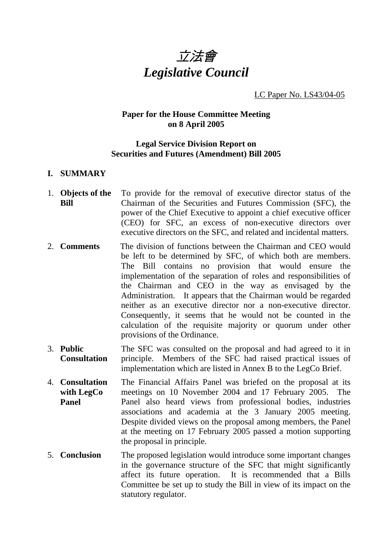

LC Paper No. LS43/04-05

### **Paper for the House Committee Meeting on 8 April 2005**

### **Legal Service Division Report on Securities and Futures (Amendment) Bill 2005**

#### **I. SUMMARY**

- 1. **Objects of the Bill**  To provide for the removal of executive director status of the Chairman of the Securities and Futures Commission (SFC), the power of the Chief Executive to appoint a chief executive officer (CEO) for SFC, an excess of non-executive directors over executive directors on the SFC, and related and incidental matters.
- 2. **Comments** The division of functions between the Chairman and CEO would be left to be determined by SFC, of which both are members. The Bill contains no provision that would ensure the implementation of the separation of roles and responsibilities of the Chairman and CEO in the way as envisaged by the Administration. It appears that the Chairman would be regarded neither as an executive director nor a non-executive director. Consequently, it seems that he would not be counted in the calculation of the requisite majority or quorum under other provisions of the Ordinance.
- 3. **Public Consultation** The SFC was consulted on the proposal and had agreed to it in principle. Members of the SFC had raised practical issues of implementation which are listed in Annex B to the LegCo Brief.
- 4. **Consultation with LegCo Panel** The Financial Affairs Panel was briefed on the proposal at its meetings on 10 November 2004 and 17 February 2005. The Panel also heard views from professional bodies, industries associations and academia at the 3 January 2005 meeting. Despite divided views on the proposal among members, the Panel at the meeting on 17 February 2005 passed a motion supporting the proposal in principle.
- 5. **Conclusion** The proposed legislation would introduce some important changes in the governance structure of the SFC that might significantly affect its future operation. It is recommended that a Bills Committee be set up to study the Bill in view of its impact on the statutory regulator.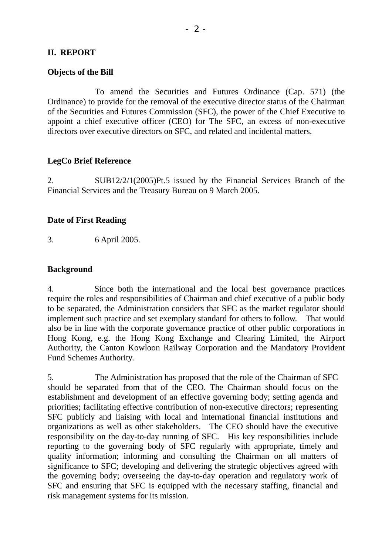## **II. REPORT**

#### **Objects of the Bill**

 To amend the Securities and Futures Ordinance (Cap. 571) (the Ordinance) to provide for the removal of the executive director status of the Chairman of the Securities and Futures Commission (SFC), the power of the Chief Executive to appoint a chief executive officer (CEO) for The SFC, an excess of non-executive directors over executive directors on SFC, and related and incidental matters.

#### **LegCo Brief Reference**

2. SUB12/2/1(2005)Pt.5 issued by the Financial Services Branch of the Financial Services and the Treasury Bureau on 9 March 2005.

#### **Date of First Reading**

3. 6 April 2005.

#### **Background**

4. Since both the international and the local best governance practices require the roles and responsibilities of Chairman and chief executive of a public body to be separated, the Administration considers that SFC as the market regulator should implement such practice and set exemplary standard for others to follow. That would also be in line with the corporate governance practice of other public corporations in Hong Kong, e.g. the Hong Kong Exchange and Clearing Limited, the Airport Authority, the Canton Kowloon Railway Corporation and the Mandatory Provident Fund Schemes Authority.

5. The Administration has proposed that the role of the Chairman of SFC should be separated from that of the CEO. The Chairman should focus on the establishment and development of an effective governing body; setting agenda and priorities; facilitating effective contribution of non-executive directors; representing SFC publicly and liaising with local and international financial institutions and organizations as well as other stakeholders. The CEO should have the executive responsibility on the day-to-day running of SFC. His key responsibilities include reporting to the governing body of SFC regularly with appropriate, timely and quality information; informing and consulting the Chairman on all matters of significance to SFC; developing and delivering the strategic objectives agreed with the governing body; overseeing the day-to-day operation and regulatory work of SFC and ensuring that SFC is equipped with the necessary staffing, financial and risk management systems for its mission.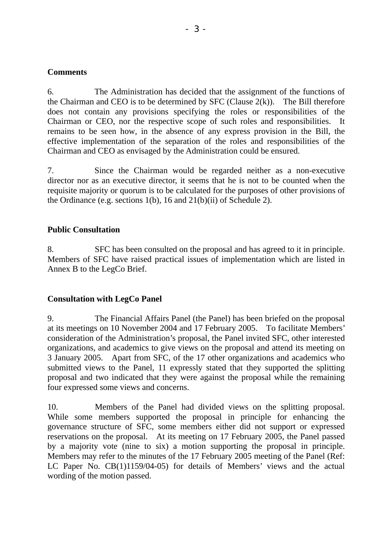### **Comments**

6. The Administration has decided that the assignment of the functions of the Chairman and CEO is to be determined by SFC (Clause  $2(k)$ ). The Bill therefore does not contain any provisions specifying the roles or responsibilities of the Chairman or CEO, nor the respective scope of such roles and responsibilities. It remains to be seen how, in the absence of any express provision in the Bill, the effective implementation of the separation of the roles and responsibilities of the Chairman and CEO as envisaged by the Administration could be ensured.

7. Since the Chairman would be regarded neither as a non-executive director nor as an executive director, it seems that he is not to be counted when the requisite majority or quorum is to be calculated for the purposes of other provisions of the Ordinance (e.g. sections 1(b), 16 and 21(b)(ii) of Schedule 2).

## **Public Consultation**

8. SFC has been consulted on the proposal and has agreed to it in principle. Members of SFC have raised practical issues of implementation which are listed in Annex B to the LegCo Brief.

## **Consultation with LegCo Panel**

9. The Financial Affairs Panel (the Panel) has been briefed on the proposal at its meetings on 10 November 2004 and 17 February 2005. To facilitate Members' consideration of the Administration's proposal, the Panel invited SFC, other interested organizations, and academics to give views on the proposal and attend its meeting on 3 January 2005. Apart from SFC, of the 17 other organizations and academics who submitted views to the Panel, 11 expressly stated that they supported the splitting proposal and two indicated that they were against the proposal while the remaining four expressed some views and concerns.

10. Members of the Panel had divided views on the splitting proposal. While some members supported the proposal in principle for enhancing the governance structure of SFC, some members either did not support or expressed reservations on the proposal. At its meeting on 17 February 2005, the Panel passed by a majority vote (nine to six) a motion supporting the proposal in principle. Members may refer to the minutes of the 17 February 2005 meeting of the Panel (Ref: LC Paper No. CB(1)1159/04-05) for details of Members' views and the actual wording of the motion passed.